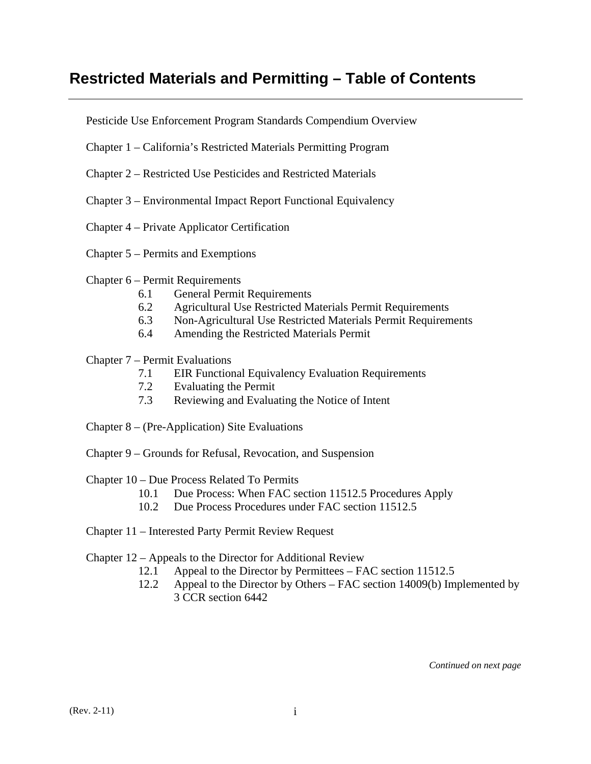# **Restricted Materials and Permitting – Table of Contents**

Pesticide Use Enforcement Program Standards Compendium Overview

- Chapter 1 California's Restricted Materials Permitting Program
- Chapter 2 Restricted Use Pesticides and Restricted Materials
- Chapter 3 Environmental Impact Report Functional Equivalency
- Chapter 4 Private Applicator Certification
- Chapter 5 Permits and Exemptions
- Chapter 6 Permit Requirements
	- 6.1 General Permit Requirements
	- 6.2 Agricultural Use Restricted Materials Permit Requirements
	- 6.3 Non-Agricultural Use Restricted Materials Permit Requirements
	- 6.4 Amending the Restricted Materials Permit

### Chapter 7 – Permit Evaluations

- 7.1 EIR Functional Equivalency Evaluation Requirements
- 7.2 Evaluating the Permit
- 7.3 Reviewing and Evaluating the Notice of Intent
- Chapter 8 (Pre-Application) Site Evaluations
- Chapter 9 Grounds for Refusal, Revocation, and Suspension

#### Chapter 10 – Due Process Related To Permits

- 10.1 Due Process: When FAC section 11512.5 Procedures Apply
- 10.2 Due Process Procedures under FAC section 11512.5
- Chapter 11 Interested Party Permit Review Request

#### Chapter 12 – Appeals to the Director for Additional Review

- 12.1 Appeal to the Director by Permittees FAC section 11512.5
- 12.2 Appeal to the Director by Others FAC section 14009(b) Implemented by 3 CCR section 6442

*Continued on next page*